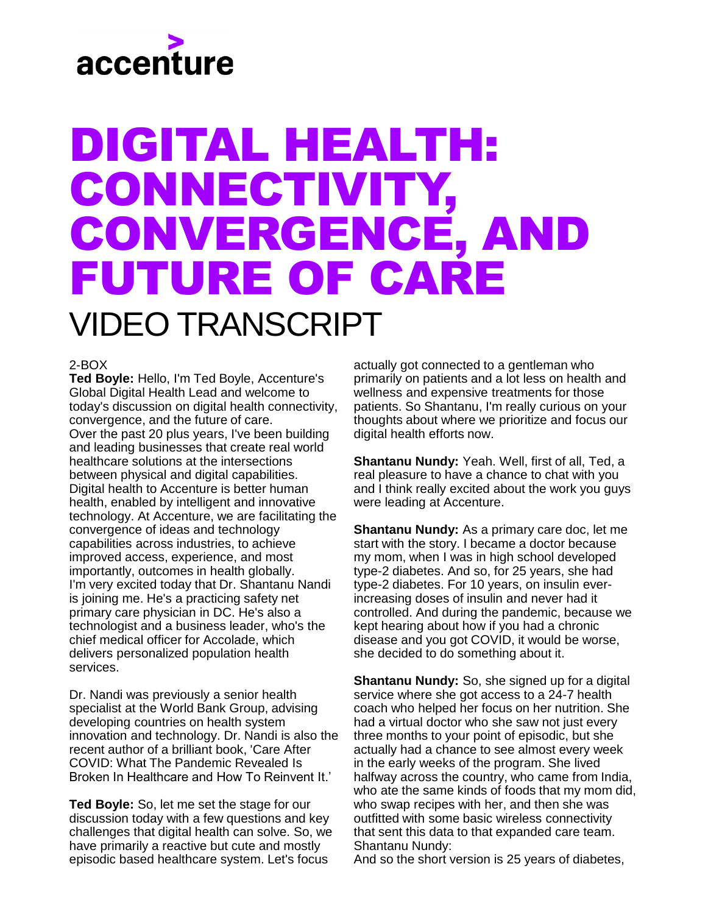# accenture

## DIGITAL HEALTH: CONNECTIVITY, CONVERGENCE, AND FUTURE OF CARE VIDEO TRANSCRIPT

### 2-BOX

**Ted Boyle:** Hello, I'm Ted Boyle, Accenture's Global Digital Health Lead and welcome to today's discussion on digital health connectivity, convergence, and the future of care. Over the past 20 plus years, I've been building and leading businesses that create real world healthcare solutions at the intersections between physical and digital capabilities. Digital health to Accenture is better human health, enabled by intelligent and innovative technology. At Accenture, we are facilitating the convergence of ideas and technology capabilities across industries, to achieve improved access, experience, and most importantly, outcomes in health globally. I'm very excited today that Dr. Shantanu Nandi is joining me. He's a practicing safety net primary care physician in DC. He's also a technologist and a business leader, who's the chief medical officer for Accolade, which delivers personalized population health services.

Dr. Nandi was previously a senior health specialist at the World Bank Group, advising developing countries on health system innovation and technology. Dr. Nandi is also the recent author of a brilliant book, 'Care After COVID: What The Pandemic Revealed Is Broken In Healthcare and How To Reinvent It.'

**Ted Boyle:** So, let me set the stage for our discussion today with a few questions and key challenges that digital health can solve. So, we have primarily a reactive but cute and mostly episodic based healthcare system. Let's focus

actually got connected to a gentleman who primarily on patients and a lot less on health and wellness and expensive treatments for those patients. So Shantanu, I'm really curious on your thoughts about where we prioritize and focus our digital health efforts now.

**Shantanu Nundy:** Yeah. Well, first of all, Ted, a real pleasure to have a chance to chat with you and I think really excited about the work you guys were leading at Accenture.

**Shantanu Nundy:** As a primary care doc, let me start with the story. I became a doctor because my mom, when I was in high school developed type-2 diabetes. And so, for 25 years, she had type-2 diabetes. For 10 years, on insulin everincreasing doses of insulin and never had it controlled. And during the pandemic, because we kept hearing about how if you had a chronic disease and you got COVID, it would be worse, she decided to do something about it.

**Shantanu Nundy:** So, she signed up for a digital service where she got access to a 24-7 health coach who helped her focus on her nutrition. She had a virtual doctor who she saw not just every three months to your point of episodic, but she actually had a chance to see almost every week in the early weeks of the program. She lived halfway across the country, who came from India, who ate the same kinds of foods that my mom did, who swap recipes with her, and then she was outfitted with some basic wireless connectivity that sent this data to that expanded care team. Shantanu Nundy:

And so the short version is 25 years of diabetes,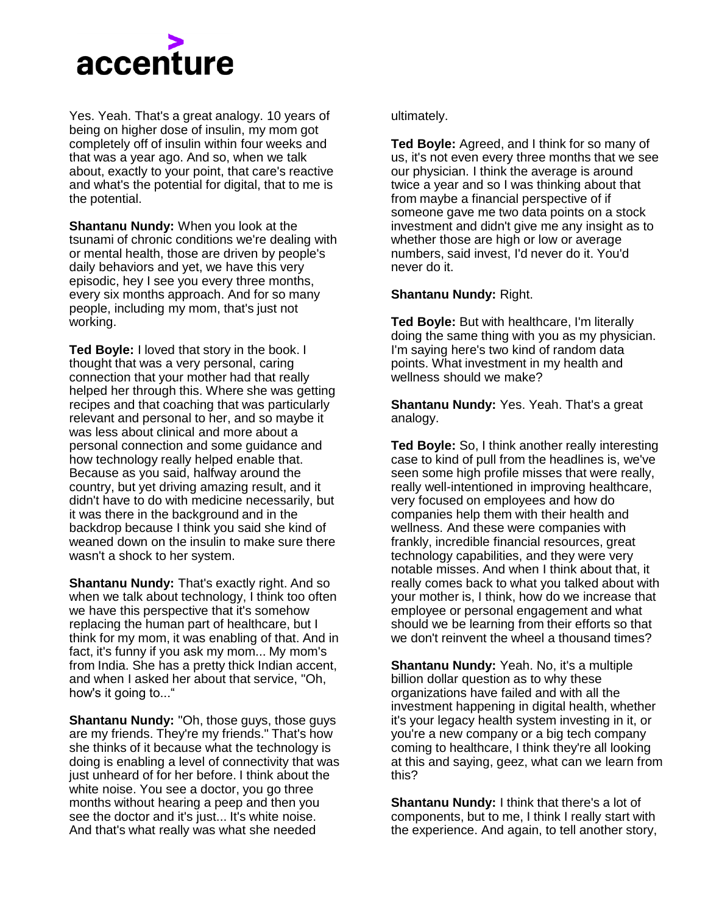

Yes. Yeah. That's a great analogy. 10 years of being on higher dose of insulin, my mom got completely off of insulin within four weeks and that was a year ago. And so, when we talk about, exactly to your point, that care's reactive and what's the potential for digital, that to me is the potential.

**Shantanu Nundy:** When you look at the tsunami of chronic conditions we're dealing with or mental health, those are driven by people's daily behaviors and yet, we have this very episodic, hey I see you every three months, every six months approach. And for so many people, including my mom, that's just not working.

**Ted Boyle:** I loved that story in the book. I thought that was a very personal, caring connection that your mother had that really helped her through this. Where she was getting recipes and that coaching that was particularly relevant and personal to her, and so maybe it was less about clinical and more about a personal connection and some guidance and how technology really helped enable that. Because as you said, halfway around the country, but yet driving amazing result, and it didn't have to do with medicine necessarily, but it was there in the background and in the backdrop because I think you said she kind of weaned down on the insulin to make sure there wasn't a shock to her system.

**Shantanu Nundy: That's exactly right. And so** when we talk about technology, I think too often we have this perspective that it's somehow replacing the human part of healthcare, but I think for my mom, it was enabling of that. And in fact, it's funny if you ask my mom... My mom's from India. She has a pretty thick Indian accent, and when I asked her about that service, "Oh, how's it going to..."

**Shantanu Nundy:** "Oh, those guys, those guys are my friends. They're my friends." That's how she thinks of it because what the technology is doing is enabling a level of connectivity that was just unheard of for her before. I think about the white noise. You see a doctor, you go three months without hearing a peep and then you see the doctor and it's just... It's white noise. And that's what really was what she needed

#### ultimately.

**Ted Boyle:** Agreed, and I think for so many of us, it's not even every three months that we see our physician. I think the average is around twice a year and so I was thinking about that from maybe a financial perspective of if someone gave me two data points on a stock investment and didn't give me any insight as to whether those are high or low or average numbers, said invest, I'd never do it. You'd never do it.

#### **Shantanu Nundy:** Right.

**Ted Boyle:** But with healthcare, I'm literally doing the same thing with you as my physician. I'm saying here's two kind of random data points. What investment in my health and wellness should we make?

**Shantanu Nundy:** Yes. Yeah. That's a great analogy.

**Ted Boyle:** So, I think another really interesting case to kind of pull from the headlines is, we've seen some high profile misses that were really, really well-intentioned in improving healthcare, very focused on employees and how do companies help them with their health and wellness. And these were companies with frankly, incredible financial resources, great technology capabilities, and they were very notable misses. And when I think about that, it really comes back to what you talked about with your mother is, I think, how do we increase that employee or personal engagement and what should we be learning from their efforts so that we don't reinvent the wheel a thousand times?

**Shantanu Nundy:** Yeah. No, it's a multiple billion dollar question as to why these organizations have failed and with all the investment happening in digital health, whether it's your legacy health system investing in it, or you're a new company or a big tech company coming to healthcare, I think they're all looking at this and saying, geez, what can we learn from this?

**Shantanu Nundy:** I think that there's a lot of components, but to me, I think I really start with the experience. And again, to tell another story,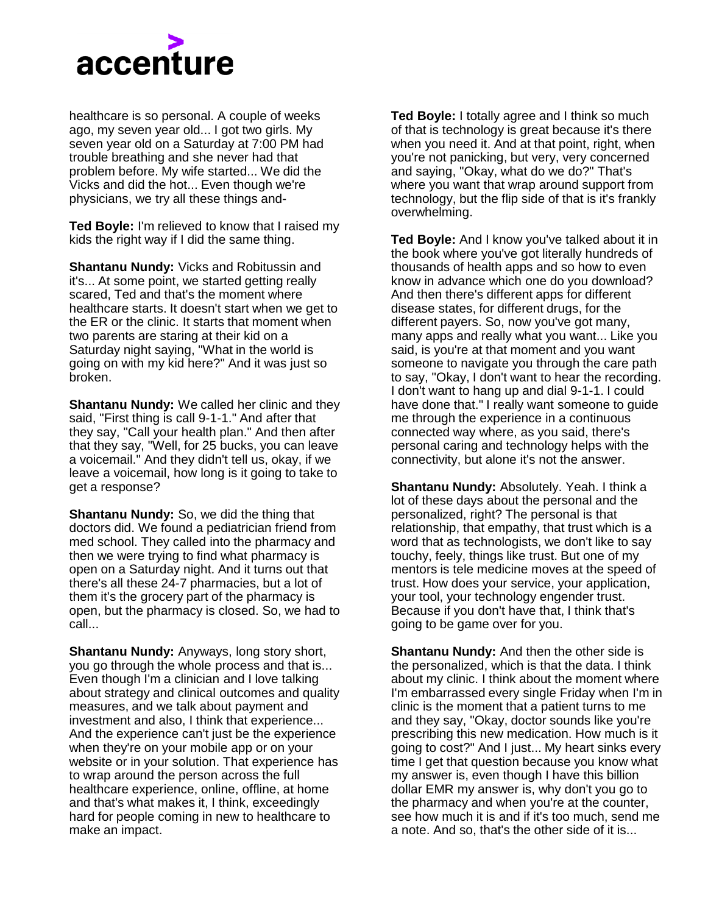

healthcare is so personal. A couple of weeks ago, my seven year old... I got two girls. My seven year old on a Saturday at 7:00 PM had trouble breathing and she never had that problem before. My wife started... We did the Vicks and did the hot... Even though we're physicians, we try all these things and-

**Ted Boyle:** I'm relieved to know that I raised my kids the right way if I did the same thing.

**Shantanu Nundy:** Vicks and Robitussin and it's... At some point, we started getting really scared, Ted and that's the moment where healthcare starts. It doesn't start when we get to the ER or the clinic. It starts that moment when two parents are staring at their kid on a Saturday night saying, "What in the world is going on with my kid here?" And it was just so broken.

**Shantanu Nundy:** We called her clinic and they said, "First thing is call 9-1-1." And after that they say, "Call your health plan." And then after that they say, "Well, for 25 bucks, you can leave a voicemail." And they didn't tell us, okay, if we leave a voicemail, how long is it going to take to get a response?

**Shantanu Nundy:** So, we did the thing that doctors did. We found a pediatrician friend from med school. They called into the pharmacy and then we were trying to find what pharmacy is open on a Saturday night. And it turns out that there's all these 24-7 pharmacies, but a lot of them it's the grocery part of the pharmacy is open, but the pharmacy is closed. So, we had to call...

**Shantanu Nundy:** Anyways, long story short, you go through the whole process and that is... Even though I'm a clinician and I love talking about strategy and clinical outcomes and quality measures, and we talk about payment and investment and also, I think that experience... And the experience can't just be the experience when they're on your mobile app or on your website or in your solution. That experience has to wrap around the person across the full healthcare experience, online, offline, at home and that's what makes it, I think, exceedingly hard for people coming in new to healthcare to make an impact.

**Ted Boyle:** I totally agree and I think so much of that is technology is great because it's there when you need it. And at that point, right, when you're not panicking, but very, very concerned and saying, "Okay, what do we do?" That's where you want that wrap around support from technology, but the flip side of that is it's frankly overwhelming.

**Ted Boyle:** And I know you've talked about it in the book where you've got literally hundreds of thousands of health apps and so how to even know in advance which one do you download? And then there's different apps for different disease states, for different drugs, for the different payers. So, now you've got many, many apps and really what you want... Like you said, is you're at that moment and you want someone to navigate you through the care path to say, "Okay, I don't want to hear the recording. I don't want to hang up and dial 9-1-1. I could have done that." I really want someone to guide me through the experience in a continuous connected way where, as you said, there's personal caring and technology helps with the connectivity, but alone it's not the answer.

**Shantanu Nundy:** Absolutely. Yeah. I think a lot of these days about the personal and the personalized, right? The personal is that relationship, that empathy, that trust which is a word that as technologists, we don't like to say touchy, feely, things like trust. But one of my mentors is tele medicine moves at the speed of trust. How does your service, your application, your tool, your technology engender trust. Because if you don't have that, I think that's going to be game over for you.

**Shantanu Nundy:** And then the other side is the personalized, which is that the data. I think about my clinic. I think about the moment where I'm embarrassed every single Friday when I'm in clinic is the moment that a patient turns to me and they say, "Okay, doctor sounds like you're prescribing this new medication. How much is it going to cost?" And I just... My heart sinks every time I get that question because you know what my answer is, even though I have this billion dollar EMR my answer is, why don't you go to the pharmacy and when you're at the counter, see how much it is and if it's too much, send me a note. And so, that's the other side of it is...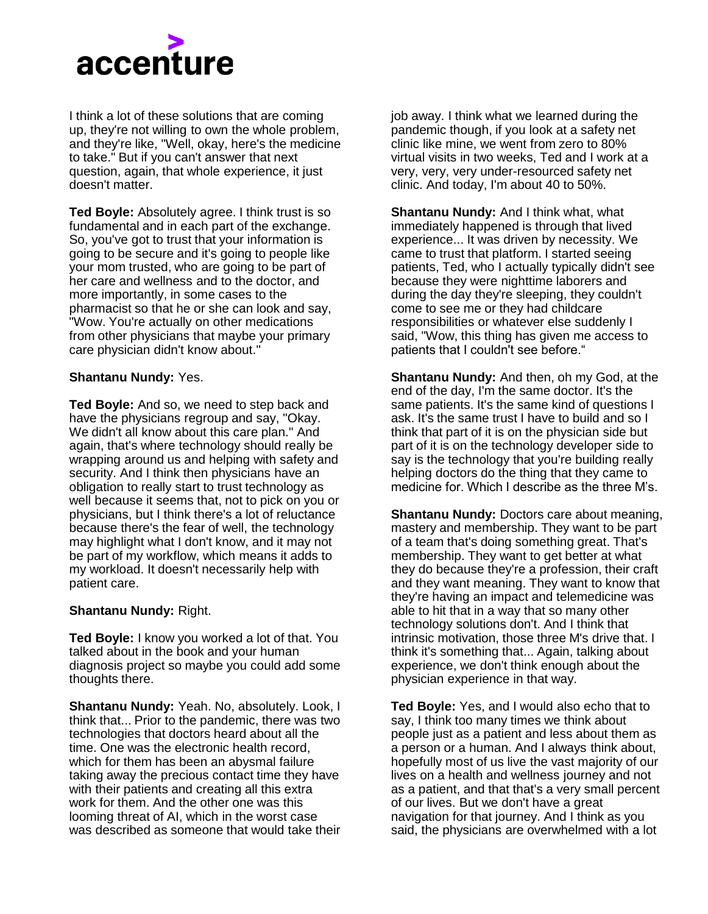

I think a lot of these solutions that are coming up, they're not willing to own the whole problem, and they're like, "Well, okay, here's the medicine to take." But if you can't answer that next question, again, that whole experience, it just doesn't matter.

**Ted Boyle:** Absolutely agree. I think trust is so fundamental and in each part of the exchange. So, you've got to trust that your information is going to be secure and it's going to people like your mom trusted, who are going to be part of her care and wellness and to the doctor, and more importantly, in some cases to the pharmacist so that he or she can look and say, "Wow. You're actually on other medications from other physicians that maybe your primary care physician didn't know about."

#### **Shantanu Nundy:** Yes.

**Ted Boyle:** And so, we need to step back and have the physicians regroup and say, "Okay. We didn't all know about this care plan." And again, that's where technology should really be wrapping around us and helping with safety and security. And I think then physicians have an obligation to really start to trust technology as well because it seems that, not to pick on you or physicians, but I think there's a lot of reluctance because there's the fear of well, the technology may highlight what I don't know, and it may not be part of my workflow, which means it adds to my workload. It doesn't necessarily help with patient care.

#### **Shantanu Nundy:** Right.

**Ted Boyle:** I know you worked a lot of that. You talked about in the book and your human diagnosis project so maybe you could add some thoughts there.

**Shantanu Nundy:** Yeah. No, absolutely. Look, I think that... Prior to the pandemic, there was two technologies that doctors heard about all the time. One was the electronic health record, which for them has been an abysmal failure taking away the precious contact time they have with their patients and creating all this extra work for them. And the other one was this looming threat of AI, which in the worst case was described as someone that would take their

job away. I think what we learned during the pandemic though, if you look at a safety net clinic like mine, we went from zero to 80% virtual visits in two weeks, Ted and I work at a very, very, very under-resourced safety net clinic. And today, I'm about 40 to 50%.

**Shantanu Nundy:** And I think what, what immediately happened is through that lived experience... It was driven by necessity. We came to trust that platform. I started seeing patients, Ted, who I actually typically didn't see because they were nighttime laborers and during the day they're sleeping, they couldn't come to see me or they had childcare responsibilities or whatever else suddenly I said, "Wow, this thing has given me access to patients that I couldn't see before."

**Shantanu Nundy:** And then, oh my God, at the end of the day, I'm the same doctor. It's the same patients. It's the same kind of questions I ask. It's the same trust I have to build and so I think that part of it is on the physician side but part of it is on the technology developer side to say is the technology that you're building really helping doctors do the thing that they came to medicine for. Which I describe as the three M's.

**Shantanu Nundy:** Doctors care about meaning, mastery and membership. They want to be part of a team that's doing something great. That's membership. They want to get better at what they do because they're a profession, their craft and they want meaning. They want to know that they're having an impact and telemedicine was able to hit that in a way that so many other technology solutions don't. And I think that intrinsic motivation, those three M's drive that. I think it's something that... Again, talking about experience, we don't think enough about the physician experience in that way.

**Ted Boyle:** Yes, and I would also echo that to say, I think too many times we think about people just as a patient and less about them as a person or a human. And I always think about, hopefully most of us live the vast majority of our lives on a health and wellness journey and not as a patient, and that that's a very small percent of our lives. But we don't have a great navigation for that journey. And I think as you said, the physicians are overwhelmed with a lot